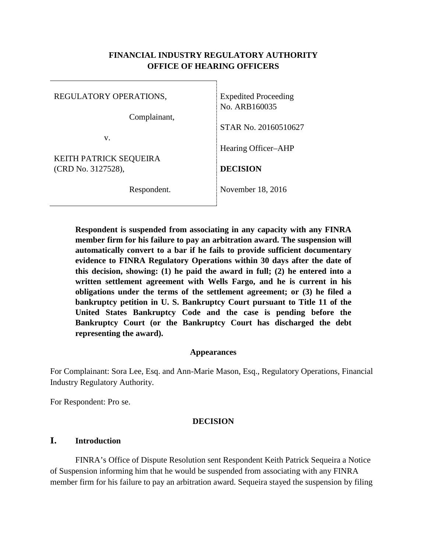### **FINANCIAL INDUSTRY REGULATORY AUTHORITY OFFICE OF HEARING OFFICERS**

| REGULATORY OPERATIONS,        | <b>Expedited Proceeding</b> |
|-------------------------------|-----------------------------|
| Complainant,                  | No. ARB160035               |
| v.                            | STAR No. 20160510627        |
| <b>KEITH PATRICK SEQUEIRA</b> | Hearing Officer–AHP         |
| (CRD No. 3127528),            | <b>DECISION</b>             |
| Respondent.                   | November 18, 2016           |

**Respondent is suspended from associating in any capacity with any FINRA member firm for his failure to pay an arbitration award. The suspension will automatically convert to a bar if he fails to provide sufficient documentary evidence to FINRA Regulatory Operations within 30 days after the date of this decision, showing: (1) he paid the award in full; (2) he entered into a written settlement agreement with Wells Fargo, and he is current in his obligations under the terms of the settlement agreement; or (3) he filed a bankruptcy petition in U. S. Bankruptcy Court pursuant to Title 11 of the United States Bankruptcy Code and the case is pending before the Bankruptcy Court (or the Bankruptcy Court has discharged the debt representing the award).**

#### **Appearances**

For Complainant: Sora Lee, Esq. and Ann-Marie Mason, Esq., Regulatory Operations, Financial Industry Regulatory Authority.

For Respondent: Pro se.

#### **DECISION**

### **I. Introduction**

FINRA's Office of Dispute Resolution sent Respondent Keith Patrick Sequeira a Notice of Suspension informing him that he would be suspended from associating with any FINRA member firm for his failure to pay an arbitration award. Sequeira stayed the suspension by filing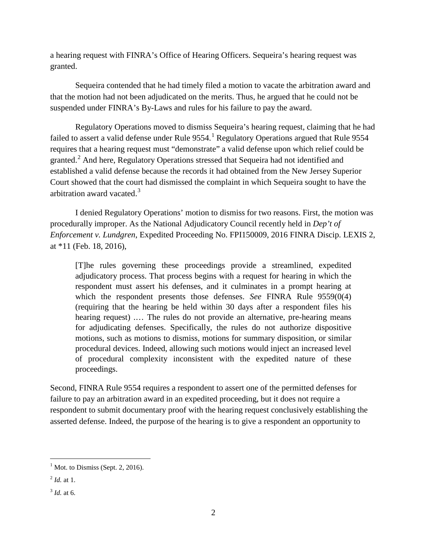a hearing request with FINRA's Office of Hearing Officers. Sequeira's hearing request was granted.

Sequeira contended that he had timely filed a motion to vacate the arbitration award and that the motion had not been adjudicated on the merits. Thus, he argued that he could not be suspended under FINRA's By-Laws and rules for his failure to pay the award.

Regulatory Operations moved to dismiss Sequeira's hearing request, claiming that he had failed to assert a valid defense under Rule  $9554$ .<sup>[1](#page-1-0)</sup> Regulatory Operations argued that Rule 9554 requires that a hearing request must "demonstrate" a valid defense upon which relief could be granted.<sup>[2](#page-1-1)</sup> And here, Regulatory Operations stressed that Sequeira had not identified and established a valid defense because the records it had obtained from the New Jersey Superior Court showed that the court had dismissed the complaint in which Sequeira sought to have the arbitration award vacated.<sup>[3](#page-1-2)</sup>

I denied Regulatory Operations' motion to dismiss for two reasons. First, the motion was procedurally improper. As the National Adjudicatory Council recently held in *Dep't of Enforcement v. Lundgren*, Expedited Proceeding No. FPI150009, 2016 FINRA Discip. LEXIS 2, at \*11 (Feb. 18, 2016),

[T]he rules governing these proceedings provide a streamlined, expedited adjudicatory process. That process begins with a request for hearing in which the respondent must assert his defenses, and it culminates in a prompt hearing at which the respondent presents those defenses. *See* FINRA Rule 9559(0(4) (requiring that the hearing be held within 30 days after a respondent files his hearing request) .... The rules do not provide an alternative, pre-hearing means for adjudicating defenses. Specifically, the rules do not authorize dispositive motions, such as motions to dismiss, motions for summary disposition, or similar procedural devices. Indeed, allowing such motions would inject an increased level of procedural complexity inconsistent with the expedited nature of these proceedings.

Second, FINRA Rule 9554 requires a respondent to assert one of the permitted defenses for failure to pay an arbitration award in an expedited proceeding, but it does not require a respondent to submit documentary proof with the hearing request conclusively establishing the asserted defense. Indeed, the purpose of the hearing is to give a respondent an opportunity to

<span id="page-1-0"></span> $<sup>1</sup>$  Mot. to Dismiss (Sept. 2, 2016).</sup>

<span id="page-1-1"></span> $^{2}$  *Id.* at 1.

<span id="page-1-2"></span><sup>3</sup> *Id.* at 6.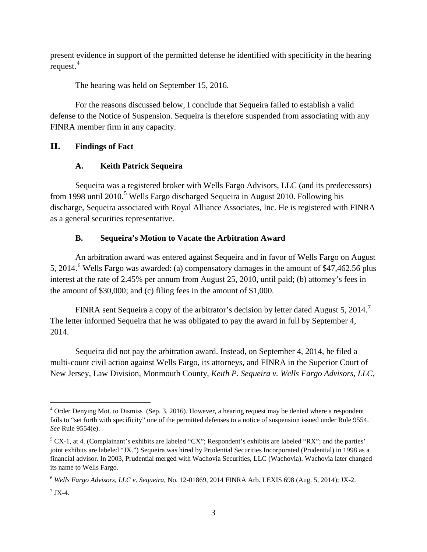present evidence in support of the permitted defense he identified with specificity in the hearing request. $4$ 

The hearing was held on September 15, 2016.

For the reasons discussed below, I conclude that Sequeira failed to establish a valid defense to the Notice of Suspension. Sequeira is therefore suspended from associating with any FINRA member firm in any capacity.

## **II. Findings of Fact**

## **A. Keith Patrick Sequeira**

Sequeira was a registered broker with Wells Fargo Advisors, LLC (and its predecessors) from 1998 until 2010.<sup>[5](#page-2-1)</sup> Wells Fargo discharged Sequeira in August 2010. Following his discharge, Sequeira associated with Royal Alliance Associates, Inc. He is registered with FINRA as a general securities representative.

## **B. Sequeira's Motion to Vacate the Arbitration Award**

An arbitration award was entered against Sequeira and in favor of Wells Fargo on August 5, 2014.<sup>[6](#page-2-2)</sup> Wells Fargo was awarded: (a) compensatory damages in the amount of \$47,462.56 plus interest at the rate of 2.45% per annum from August 25, 2010, until paid; (b) attorney's fees in the amount of \$30,000; and (c) filing fees in the amount of \$1,000.

FINRA sent Sequeira a copy of the arbitrator's decision by letter dated August 5, 2014. The letter informed Sequeira that he was obligated to pay the award in full by September 4, 2014.

Sequeira did not pay the arbitration award. Instead, on September 4, 2014, he filed a multi-count civil action against Wells Fargo, its attorneys, and FINRA in the Superior Court of New Jersey, Law Division, Monmouth County, *Keith P. Sequeira v. Wells Fargo Advisors, LLC*,

<span id="page-2-0"></span><sup>&</sup>lt;sup>4</sup> Order Denying Mot. to Dismiss (Sep. 3, 2016). However, a hearing request may be denied where a respondent fails to "set forth with specificity" one of the permitted defenses to a notice of suspension issued under Rule 9554. *See* Rule 9554(e).

<span id="page-2-1"></span> $5$  CX-1, at 4. (Complainant's exhibits are labeled "CX"; Respondent's exhibits are labeled "RX"; and the parties' joint exhibits are labeled "JX.") Sequeira was hired by Prudential Securities Incorporated (Prudential) in 1998 as a financial advisor. In 2003, Prudential merged with Wachovia Securities, LLC (Wachovia). Wachovia later changed its name to Wells Fargo.

<span id="page-2-2"></span><sup>6</sup> *Wells Fargo Advisors, LLC v. Sequeira*, No. 12-01869, 2014 FINRA Arb. LEXIS 698 (Aug. 5, 2014); JX-2.

<span id="page-2-3"></span> $^7$  JX-4.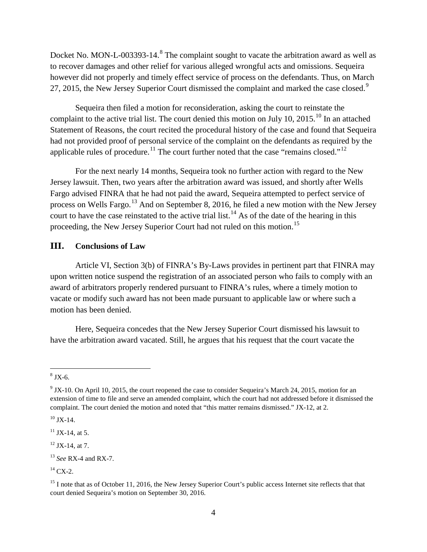Docket No. MON-L-003393-14.<sup>[8](#page-3-0)</sup> The complaint sought to vacate the arbitration award as well as to recover damages and other relief for various alleged wrongful acts and omissions. Sequeira however did not properly and timely effect service of process on the defendants. Thus, on March 27, 2015, the New Jersey Superior Court dismissed the complaint and marked the case closed.<sup>[9](#page-3-1)</sup>

Sequeira then filed a motion for reconsideration, asking the court to reinstate the complaint to the active trial list. The court denied this motion on July [10](#page-3-2), 2015.<sup>10</sup> In an attached Statement of Reasons, the court recited the procedural history of the case and found that Sequeira had not provided proof of personal service of the complaint on the defendants as required by the applicable rules of procedure.<sup>[11](#page-3-3)</sup> The court further noted that the case "remains closed."<sup>[12](#page-3-4)</sup>

For the next nearly 14 months, Sequeira took no further action with regard to the New Jersey lawsuit. Then, two years after the arbitration award was issued, and shortly after Wells Fargo advised FINRA that he had not paid the award, Sequeira attempted to perfect service of process on Wells Fargo.<sup>[13](#page-3-5)</sup> And on September 8, 2016, he filed a new motion with the New Jersey court to have the case reinstated to the active trial list.<sup>[14](#page-3-6)</sup> As of the date of the hearing in this proceeding, the New Jersey Superior Court had not ruled on this motion.[15](#page-3-7)

#### **III. Conclusions of Law**

Article VI, Section 3(b) of FINRA's By-Laws provides in pertinent part that FINRA may upon written notice suspend the registration of an associated person who fails to comply with an award of arbitrators properly rendered pursuant to FINRA's rules, where a timely motion to vacate or modify such award has not been made pursuant to applicable law or where such a motion has been denied.

Here, Sequeira concedes that the New Jersey Superior Court dismissed his lawsuit to have the arbitration award vacated. Still, he argues that his request that the court vacate the

<span id="page-3-0"></span> $8$  JX-6.

<span id="page-3-1"></span><sup>&</sup>lt;sup>9</sup> JX-10. On April 10, 2015, the court reopened the case to consider Sequeira's March 24, 2015, motion for an extension of time to file and serve an amended complaint, which the court had not addressed before it dismissed the complaint. The court denied the motion and noted that "this matter remains dismissed." JX-12, at 2.

<span id="page-3-2"></span> $10$  JX-14.

<span id="page-3-3"></span> $11$  JX-14, at 5.

<span id="page-3-4"></span> $12$  JX-14, at 7.

<span id="page-3-5"></span><sup>13</sup> *See* RX-4 and RX-7.

<span id="page-3-6"></span> $^{14}$  CX-2.

<span id="page-3-7"></span><sup>&</sup>lt;sup>15</sup> I note that as of October 11, 2016, the New Jersey Superior Court's public access Internet site reflects that that court denied Sequeira's motion on September 30, 2016.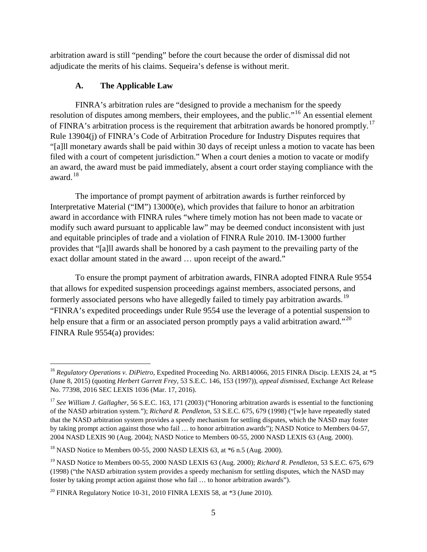arbitration award is still "pending" before the court because the order of dismissal did not adjudicate the merits of his claims. Sequeira's defense is without merit.

### **A. The Applicable Law**

FINRA's arbitration rules are "designed to provide a mechanism for the speedy resolution of disputes among members, their employees, and the public."<sup>[16](#page-4-0)</sup> An essential element of FINRA's arbitration process is the requirement that arbitration awards be honored promptly.<sup>[17](#page-4-1)</sup> Rule 13904(j) of FINRA's Code of Arbitration Procedure for Industry Disputes requires that "[a]ll monetary awards shall be paid within 30 days of receipt unless a motion to vacate has been filed with a court of competent jurisdiction." When a court denies a motion to vacate or modify an award, the award must be paid immediately, absent a court order staying compliance with the award.[18](#page-4-2)

The importance of prompt payment of arbitration awards is further reinforced by Interpretative Material ("IM") 13000(e), which provides that failure to honor an arbitration award in accordance with FINRA rules "where timely motion has not been made to vacate or modify such award pursuant to applicable law" may be deemed conduct inconsistent with just and equitable principles of trade and a violation of FINRA Rule 2010. IM-13000 further provides that "[a]ll awards shall be honored by a cash payment to the prevailing party of the exact dollar amount stated in the award … upon receipt of the award."

To ensure the prompt payment of arbitration awards, FINRA adopted FINRA Rule 9554 that allows for expedited suspension proceedings against members, associated persons, and formerly associated persons who have allegedly failed to timely pay arbitration awards.<sup>[19](#page-4-3)</sup> "FINRA's expedited proceedings under Rule 9554 use the leverage of a potential suspension to help ensure that a firm or an associated person promptly pays a valid arbitration award."<sup>[20](#page-4-4)</sup> FINRA Rule 9554(a) provides:

<span id="page-4-0"></span><sup>&</sup>lt;sup>16</sup> *Regulatory Operations v. DiPietro*, Expedited Proceeding No. ARB140066, 2015 FINRA Discip. LEXIS 24, at \*5 (June 8, 2015) (quoting *Herbert Garrett Frey*, 53 S.E.C. 146, 153 (1997)), *appeal dismissed*, Exchange Act Release No. 77398, 2016 SEC LEXIS 1036 (Mar. 17, 2016).

<span id="page-4-1"></span><sup>17</sup> *See William J. Gallagher*, 56 S.E.C. 163, 171 (2003) ("Honoring arbitration awards is essential to the functioning of the NASD arbitration system."); *Richard R. Pendleton*, 53 S.E.C. 675, 679 (1998) ("[w]e have repeatedly stated that the NASD arbitration system provides a speedy mechanism for settling disputes, which the NASD may foster by taking prompt action against those who fail … to honor arbitration awards"); NASD Notice to Members 04-57, 2004 NASD LEXIS 90 (Aug. 2004); NASD Notice to Members 00-55, 2000 NASD LEXIS 63 (Aug. 2000).

<span id="page-4-2"></span> $^{18}$  NASD Notice to Members 00-55, 2000 NASD LEXIS 63, at  $*6$  n.5 (Aug. 2000).

<span id="page-4-3"></span><sup>19</sup> NASD Notice to Members 00-55, 2000 NASD LEXIS 63 (Aug. 2000); *Richard R. Pendleton*, 53 S.E.C. 675, 679 (1998) ("the NASD arbitration system provides a speedy mechanism for settling disputes, which the NASD may foster by taking prompt action against those who fail … to honor arbitration awards").

<span id="page-4-4"></span> $20$  FINRA Regulatory Notice 10-31, 2010 FINRA LEXIS 58, at  $*3$  (June 2010).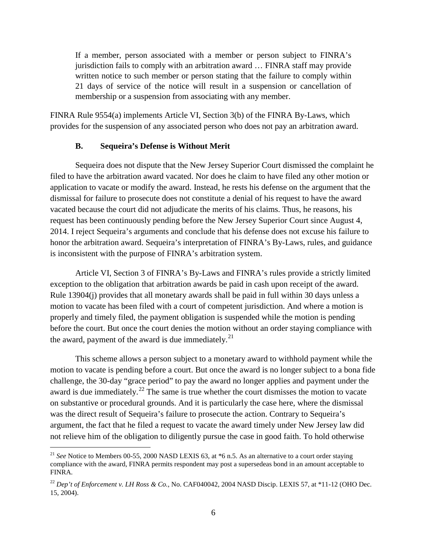If a member, person associated with a member or person subject to FINRA's jurisdiction fails to comply with an arbitration award … FINRA staff may provide written notice to such member or person stating that the failure to comply within 21 days of service of the notice will result in a suspension or cancellation of membership or a suspension from associating with any member.

FINRA Rule 9554(a) implements Article VI, Section 3(b) of the FINRA By-Laws, which provides for the suspension of any associated person who does not pay an arbitration award.

#### **B. Sequeira's Defense is Without Merit**

Sequeira does not dispute that the New Jersey Superior Court dismissed the complaint he filed to have the arbitration award vacated. Nor does he claim to have filed any other motion or application to vacate or modify the award. Instead, he rests his defense on the argument that the dismissal for failure to prosecute does not constitute a denial of his request to have the award vacated because the court did not adjudicate the merits of his claims. Thus, he reasons, his request has been continuously pending before the New Jersey Superior Court since August 4, 2014. I reject Sequeira's arguments and conclude that his defense does not excuse his failure to honor the arbitration award. Sequeira's interpretation of FINRA's By-Laws, rules, and guidance is inconsistent with the purpose of FINRA's arbitration system.

Article VI, Section 3 of FINRA's By-Laws and FINRA's rules provide a strictly limited exception to the obligation that arbitration awards be paid in cash upon receipt of the award. Rule 13904(j) provides that all monetary awards shall be paid in full within 30 days unless a motion to vacate has been filed with a court of competent jurisdiction. And where a motion is properly and timely filed, the payment obligation is suspended while the motion is pending before the court. But once the court denies the motion without an order staying compliance with the award, payment of the award is due immediately. $^{21}$  $^{21}$  $^{21}$ 

This scheme allows a person subject to a monetary award to withhold payment while the motion to vacate is pending before a court. But once the award is no longer subject to a bona fide challenge, the 30-day "grace period" to pay the award no longer applies and payment under the award is due immediately.<sup>[22](#page-5-1)</sup> The same is true whether the court dismisses the motion to vacate on substantive or procedural grounds. And it is particularly the case here, where the dismissal was the direct result of Sequeira's failure to prosecute the action. Contrary to Sequeira's argument, the fact that he filed a request to vacate the award timely under New Jersey law did not relieve him of the obligation to diligently pursue the case in good faith. To hold otherwise

<span id="page-5-0"></span><sup>&</sup>lt;sup>21</sup> *See* Notice to Members 00-55, 2000 NASD LEXIS 63, at \*6 n.5. As an alternative to a court order staying compliance with the award, FINRA permits respondent may post a supersedeas bond in an amount acceptable to FINRA.

<span id="page-5-1"></span><sup>22</sup> *Dep't of Enforcement v. LH Ross & Co.*, No. CAF040042, 2004 NASD Discip. LEXIS 57, at \*11-12 (OHO Dec. 15, 2004).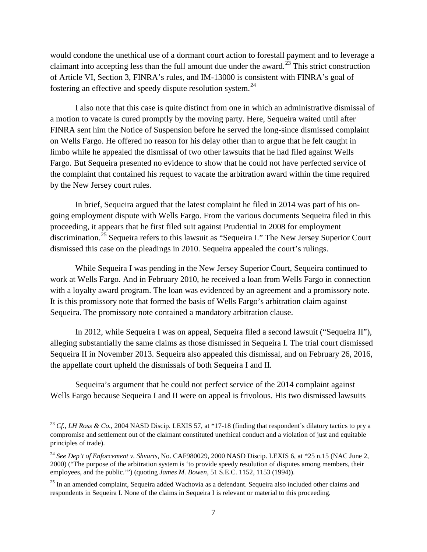would condone the unethical use of a dormant court action to forestall payment and to leverage a claimant into accepting less than the full amount due under the award.<sup>[23](#page-6-0)</sup> This strict construction of Article VI, Section 3, FINRA's rules, and IM-13000 is consistent with FINRA's goal of fostering an effective and speedy dispute resolution system.<sup>[24](#page-6-1)</sup>

I also note that this case is quite distinct from one in which an administrative dismissal of a motion to vacate is cured promptly by the moving party. Here, Sequeira waited until after FINRA sent him the Notice of Suspension before he served the long-since dismissed complaint on Wells Fargo. He offered no reason for his delay other than to argue that he felt caught in limbo while he appealed the dismissal of two other lawsuits that he had filed against Wells Fargo. But Sequeira presented no evidence to show that he could not have perfected service of the complaint that contained his request to vacate the arbitration award within the time required by the New Jersey court rules.

In brief, Sequeira argued that the latest complaint he filed in 2014 was part of his ongoing employment dispute with Wells Fargo. From the various documents Sequeira filed in this proceeding, it appears that he first filed suit against Prudential in 2008 for employment discrimination.<sup>[25](#page-6-2)</sup> Sequeira refers to this lawsuit as "Sequeira I." The New Jersey Superior Court dismissed this case on the pleadings in 2010. Sequeira appealed the court's rulings.

While Sequeira I was pending in the New Jersey Superior Court, Sequeira continued to work at Wells Fargo. And in February 2010, he received a loan from Wells Fargo in connection with a loyalty award program. The loan was evidenced by an agreement and a promissory note. It is this promissory note that formed the basis of Wells Fargo's arbitration claim against Sequeira. The promissory note contained a mandatory arbitration clause.

In 2012, while Sequeira I was on appeal, Sequeira filed a second lawsuit ("Sequeira II"), alleging substantially the same claims as those dismissed in Sequeira I. The trial court dismissed Sequeira II in November 2013. Sequeira also appealed this dismissal, and on February 26, 2016, the appellate court upheld the dismissals of both Sequeira I and II.

Sequeira's argument that he could not perfect service of the 2014 complaint against Wells Fargo because Sequeira I and II were on appeal is frivolous. His two dismissed lawsuits

<span id="page-6-0"></span> <sup>23</sup> *Cf., LH Ross & Co.*, 2004 NASD Discip. LEXIS 57, at \*17-18 (finding that respondent's dilatory tactics to pry a compromise and settlement out of the claimant constituted unethical conduct and a violation of just and equitable principles of trade).

<span id="page-6-1"></span><sup>&</sup>lt;sup>24</sup> See Dep't of Enforcement v. Shvarts, No. CAF980029, 2000 NASD Discip. LEXIS 6, at \*25 n.15 (NAC June 2, 2000) ("The purpose of the arbitration system is 'to provide speedy resolution of disputes among members, their employees, and the public.'") (quoting *James M. Bowen*, 51 S.E.C. 1152, 1153 (1994)).

<span id="page-6-2"></span><sup>&</sup>lt;sup>25</sup> In an amended complaint, Sequeira added Wachovia as a defendant. Sequeira also included other claims and respondents in Sequeira I. None of the claims in Sequeira I is relevant or material to this proceeding.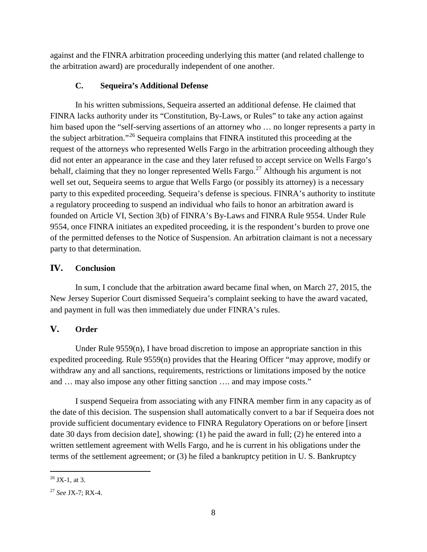against and the FINRA arbitration proceeding underlying this matter (and related challenge to the arbitration award) are procedurally independent of one another.

# **C. Sequeira's Additional Defense**

In his written submissions, Sequeira asserted an additional defense. He claimed that FINRA lacks authority under its "Constitution, By-Laws, or Rules" to take any action against him based upon the "self-serving assertions of an attorney who ... no longer represents a party in the subject arbitration."[26](#page-7-0) Sequeira complains that FINRA instituted this proceeding at the request of the attorneys who represented Wells Fargo in the arbitration proceeding although they did not enter an appearance in the case and they later refused to accept service on Wells Fargo's behalf, claiming that they no longer represented Wells Fargo.<sup>[27](#page-7-1)</sup> Although his argument is not well set out, Sequeira seems to argue that Wells Fargo (or possibly its attorney) is a necessary party to this expedited proceeding. Sequeira's defense is specious. FINRA's authority to institute a regulatory proceeding to suspend an individual who fails to honor an arbitration award is founded on Article VI, Section 3(b) of FINRA's By-Laws and FINRA Rule 9554. Under Rule 9554, once FINRA initiates an expedited proceeding, it is the respondent's burden to prove one of the permitted defenses to the Notice of Suspension. An arbitration claimant is not a necessary party to that determination.

# **IV. Conclusion**

In sum, I conclude that the arbitration award became final when, on March 27, 2015, the New Jersey Superior Court dismissed Sequeira's complaint seeking to have the award vacated, and payment in full was then immediately due under FINRA's rules.

# **V. Order**

Under Rule 9559(n), I have broad discretion to impose an appropriate sanction in this expedited proceeding. Rule 9559(n) provides that the Hearing Officer "may approve, modify or withdraw any and all sanctions, requirements, restrictions or limitations imposed by the notice and … may also impose any other fitting sanction …. and may impose costs."

I suspend Sequeira from associating with any FINRA member firm in any capacity as of the date of this decision. The suspension shall automatically convert to a bar if Sequeira does not provide sufficient documentary evidence to FINRA Regulatory Operations on or before [insert date 30 days from decision date], showing: (1) he paid the award in full; (2) he entered into a written settlement agreement with Wells Fargo, and he is current in his obligations under the terms of the settlement agreement; or (3) he filed a bankruptcy petition in U. S. Bankruptcy

<span id="page-7-0"></span> $26$  JX-1, at 3.

<span id="page-7-1"></span><sup>27</sup> *See* JX-7; RX-4.